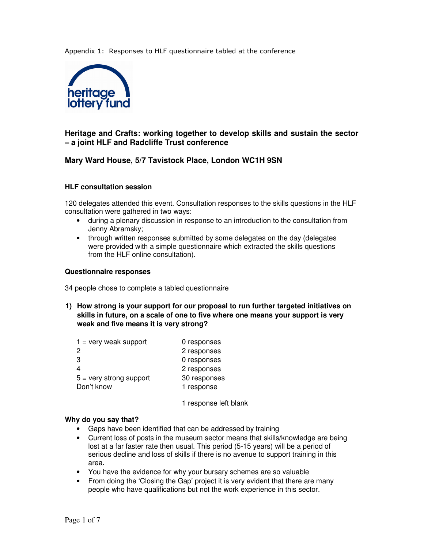Appendix 1: Responses to HLF questionnaire tabled at the conference



# **Heritage and Crafts: working together to develop skills and sustain the sector – a joint HLF and Radcliffe Trust conference**

## **Mary Ward House, 5/7 Tavistock Place, London WC1H 9SN**

#### **HLF consultation session**

120 delegates attended this event. Consultation responses to the skills questions in the HLF consultation were gathered in two ways:

- during a plenary discussion in response to an introduction to the consultation from Jenny Abramsky;
- through written responses submitted by some delegates on the day (delegates were provided with a simple questionnaire which extracted the skills questions from the HLF online consultation).

#### **Questionnaire responses**

34 people chose to complete a tabled questionnaire

**1) How strong is your support for our proposal to run further targeted initiatives on skills in future, on a scale of one to five where one means your support is very weak and five means it is very strong?** 

| $1 = \text{very weak support}$ | 0 responses  |
|--------------------------------|--------------|
| 2                              | 2 responses  |
| 3                              | 0 responses  |
|                                | 2 responses  |
| $5 =$ very strong support      | 30 responses |
| Don't know                     | 1 response   |
|                                |              |

1 response left blank

#### **Why do you say that?**

- Gaps have been identified that can be addressed by training
- Current loss of posts in the museum sector means that skills/knowledge are being lost at a far faster rate then usual. This period (5-15 years) will be a period of serious decline and loss of skills if there is no avenue to support training in this area.
- You have the evidence for why your bursary schemes are so valuable
- From doing the 'Closing the Gap' project it is very evident that there are many people who have qualifications but not the work experience in this sector.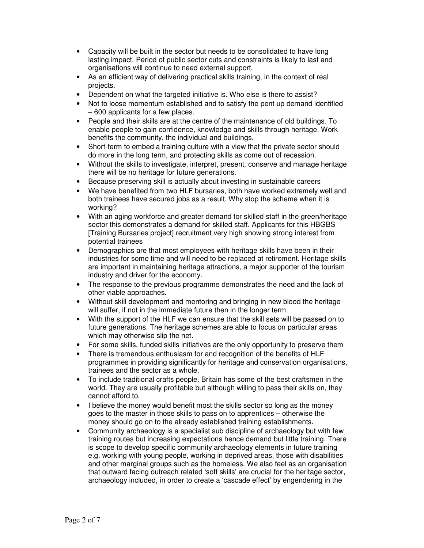- Capacity will be built in the sector but needs to be consolidated to have long lasting impact. Period of public sector cuts and constraints is likely to last and organisations will continue to need external support.
- As an efficient way of delivering practical skills training, in the context of real projects.
- Dependent on what the targeted initiative is. Who else is there to assist?
- Not to loose momentum established and to satisfy the pent up demand identified – 600 applicants for a few places.
- People and their skills are at the centre of the maintenance of old buildings. To enable people to gain confidence, knowledge and skills through heritage. Work benefits the community, the individual and buildings.
- Short-term to embed a training culture with a view that the private sector should do more in the long term, and protecting skills as come out of recession.
- Without the skills to investigate, interpret, present, conserve and manage heritage there will be no heritage for future generations.
- Because preserving skill is actually about investing in sustainable careers
- We have benefited from two HLF bursaries, both have worked extremely well and both trainees have secured jobs as a result. Why stop the scheme when it is working?
- With an aging workforce and greater demand for skilled staff in the green/heritage sector this demonstrates a demand for skilled staff. Applicants for this HBGBS [Training Bursaries project] recruitment very high showing strong interest from potential trainees
- Demographics are that most employees with heritage skills have been in their industries for some time and will need to be replaced at retirement. Heritage skills are important in maintaining heritage attractions, a major supporter of the tourism industry and driver for the economy.
- The response to the previous programme demonstrates the need and the lack of other viable approaches.
- Without skill development and mentoring and bringing in new blood the heritage will suffer, if not in the immediate future then in the longer term.
- With the support of the HLF we can ensure that the skill sets will be passed on to future generations. The heritage schemes are able to focus on particular areas which may otherwise slip the net.
- For some skills, funded skills initiatives are the only opportunity to preserve them
- There is tremendous enthusiasm for and recognition of the benefits of HLF programmes in providing significantly for heritage and conservation organisations, trainees and the sector as a whole.
- To include traditional crafts people. Britain has some of the best craftsmen in the world. They are usually profitable but although willing to pass their skills on, they cannot afford to.
- I believe the money would benefit most the skills sector so long as the money goes to the master in those skills to pass on to apprentices – otherwise the money should go on to the already established training establishments.
- Community archaeology is a specialist sub discipline of archaeology but with few training routes but increasing expectations hence demand but little training. There is scope to develop specific community archaeology elements in future training e.g. working with young people, working in deprived areas, those with disabilities and other marginal groups such as the homeless. We also feel as an organisation that outward facing outreach related 'soft skills' are crucial for the heritage sector, archaeology included, in order to create a 'cascade effect' by engendering in the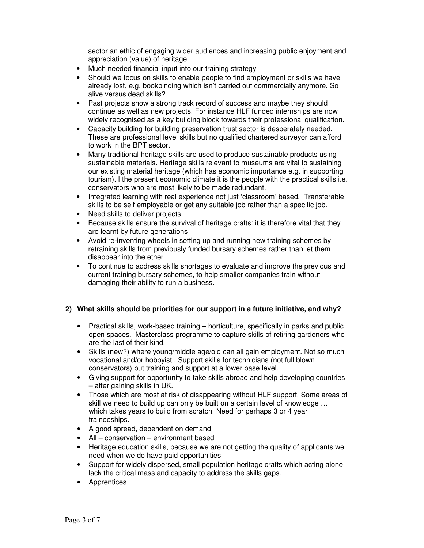sector an ethic of engaging wider audiences and increasing public enjoyment and appreciation (value) of heritage.

- Much needed financial input into our training strategy
- Should we focus on skills to enable people to find employment or skills we have already lost, e.g. bookbinding which isn't carried out commercially anymore. So alive versus dead skills?
- Past projects show a strong track record of success and maybe they should continue as well as new projects. For instance HLF funded internships are now widely recognised as a key building block towards their professional qualification.
- Capacity building for building preservation trust sector is desperately needed. These are professional level skills but no qualified chartered surveyor can afford to work in the BPT sector.
- Many traditional heritage skills are used to produce sustainable products using sustainable materials. Heritage skills relevant to museums are vital to sustaining our existing material heritage (which has economic importance e.g. in supporting tourism). I the present economic climate it is the people with the practical skills i.e. conservators who are most likely to be made redundant.
- Integrated learning with real experience not just 'classroom' based. Transferable skills to be self employable or get any suitable job rather than a specific job.
- Need skills to deliver projects
- Because skills ensure the survival of heritage crafts: it is therefore vital that they are learnt by future generations
- Avoid re-inventing wheels in setting up and running new training schemes by retraining skills from previously funded bursary schemes rather than let them disappear into the ether
- To continue to address skills shortages to evaluate and improve the previous and current training bursary schemes, to help smaller companies train without damaging their ability to run a business.

## **2) What skills should be priorities for our support in a future initiative, and why?**

- Practical skills, work-based training horticulture, specifically in parks and public open spaces. Masterclass programme to capture skills of retiring gardeners who are the last of their kind.
- Skills (new?) where young/middle age/old can all gain employment. Not so much vocational and/or hobbyist . Support skills for technicians (not full blown conservators) but training and support at a lower base level.
- Giving support for opportunity to take skills abroad and help developing countries – after gaining skills in UK.
- Those which are most at risk of disappearing without HLF support. Some areas of skill we need to build up can only be built on a certain level of knowledge … which takes years to build from scratch. Need for perhaps 3 or 4 year traineeships.
- A good spread, dependent on demand
- All conservation environment based
- Heritage education skills, because we are not getting the quality of applicants we need when we do have paid opportunities
- Support for widely dispersed, small population heritage crafts which acting alone lack the critical mass and capacity to address the skills gaps.
- **Apprentices**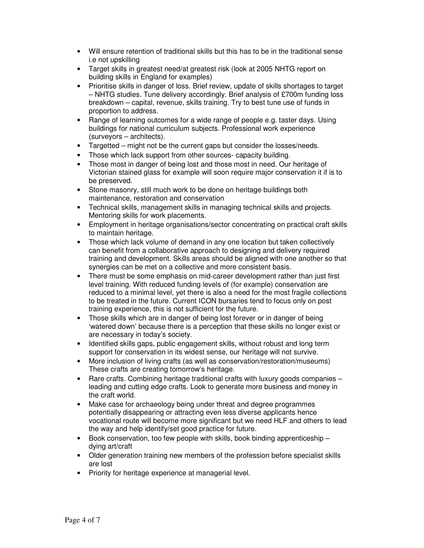- Will ensure retention of traditional skills but this has to be in the traditional sense i.e not upskilling
- Target skills in greatest need/at greatest risk (look at 2005 NHTG report on building skills in England for examples)
- Prioritise skills in danger of loss. Brief review, update of skills shortages to target – NHTG studies. Tune delivery accordingly. Brief analysis of £700m funding loss breakdown – capital, revenue, skills training. Try to best tune use of funds in proportion to address.
- Range of learning outcomes for a wide range of people e.g. taster days. Using buildings for national curriculum subjects. Professional work experience (surveyors – architects).
- Targetted might not be the current gaps but consider the losses/needs.
- Those which lack support from other sources- capacity building.
- Those most in danger of being lost and those most in need. Our heritage of Victorian stained glass for example will soon require major conservation it if is to be preserved.
- Stone masonry, still much work to be done on heritage buildings both maintenance, restoration and conservation
- Technical skills, management skills in managing technical skills and projects. Mentoring skills for work placements.
- Employment in heritage organisations/sector concentrating on practical craft skills to maintain heritage.
- Those which lack volume of demand in any one location but taken collectively can benefit from a collaborative approach to designing and delivery required training and development. Skills areas should be aligned with one another so that synergies can be met on a collective and more consistent basis.
- There must be some emphasis on mid-career development rather than just first level training. With reduced funding levels of (for example) conservation are reduced to a minimal level, yet there is also a need for the most fragile collections to be treated in the future. Current ICON bursaries tend to focus only on post training experience, this is not sufficient for the future.
- Those skills which are in danger of being lost forever or in danger of being 'watered down' because there is a perception that these skills no longer exist or are necessary in today's society.
- Identified skills gaps, public engagement skills, without robust and long term support for conservation in its widest sense, our heritage will not survive.
- More inclusion of living crafts (as well as conservation/restoration/museums) These crafts are creating tomorrow's heritage.
- Rare crafts. Combining heritage traditional crafts with luxury goods companies leading and cutting edge crafts. Look to generate more business and money in the craft world.
- Make case for archaeology being under threat and degree programmes potentially disappearing or attracting even less diverse applicants hence vocational route will become more significant but we need HLF and others to lead the way and help identify/set good practice for future.
- Book conservation, too few people with skills, book binding apprenticeship dying art/craft
- Older generation training new members of the profession before specialist skills are lost
- Priority for heritage experience at managerial level.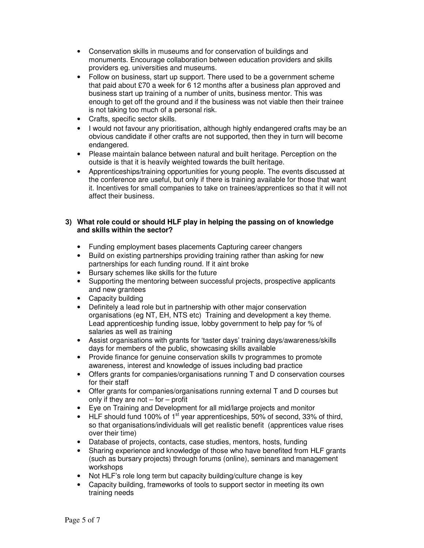- Conservation skills in museums and for conservation of buildings and monuments. Encourage collaboration between education providers and skills providers eg. universities and museums.
- Follow on business, start up support. There used to be a government scheme that paid about £70 a week for 6 12 months after a business plan approved and business start up training of a number of units, business mentor. This was enough to get off the ground and if the business was not viable then their trainee is not taking too much of a personal risk.
- Crafts, specific sector skills.
- I would not favour any prioritisation, although highly endangered crafts may be an obvious candidate if other crafts are not supported, then they in turn will become endangered.
- Please maintain balance between natural and built heritage. Perception on the outside is that it is heavily weighted towards the built heritage.
- Apprenticeships/training opportunities for young people. The events discussed at the conference are useful, but only if there is training available for those that want it. Incentives for small companies to take on trainees/apprentices so that it will not affect their business.

## **3) What role could or should HLF play in helping the passing on of knowledge and skills within the sector?**

- Funding employment bases placements Capturing career changers
- Build on existing partnerships providing training rather than asking for new partnerships for each funding round. If it aint broke
- Bursary schemes like skills for the future
- Supporting the mentoring between successful projects, prospective applicants and new grantees
- Capacity building
- Definitely a lead role but in partnership with other major conservation organisations (eg NT, EH, NTS etc) Training and development a key theme. Lead apprenticeship funding issue, lobby government to help pay for % of salaries as well as training
- Assist organisations with grants for 'taster days' training days/awareness/skills days for members of the public, showcasing skills available
- Provide finance for genuine conservation skills tv programmes to promote awareness, interest and knowledge of issues including bad practice
- Offers grants for companies/organisations running T and D conservation courses for their staff
- Offer grants for companies/organisations running external T and D courses but only if they are not  $-$  for  $-$  profit
- Eye on Training and Development for all mid/large projects and monitor
- HLF should fund 100% of 1<sup>st</sup> year apprenticeships, 50% of second, 33% of third, so that organisations/individuals will get realistic benefit (apprentices value rises over their time)
- Database of projects, contacts, case studies, mentors, hosts, funding
- Sharing experience and knowledge of those who have benefited from HLF grants (such as bursary projects) through forums (online), seminars and management workshops
- Not HLF's role long term but capacity building/culture change is key
- Capacity building, frameworks of tools to support sector in meeting its own training needs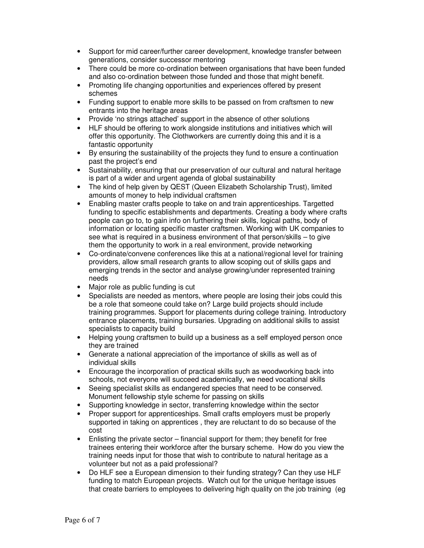- Support for mid career/further career development, knowledge transfer between generations, consider successor mentoring
- There could be more co-ordination between organisations that have been funded and also co-ordination between those funded and those that might benefit.
- Promoting life changing opportunities and experiences offered by present schemes
- Funding support to enable more skills to be passed on from craftsmen to new entrants into the heritage areas
- Provide 'no strings attached' support in the absence of other solutions
- HLF should be offering to work alongside institutions and initiatives which will offer this opportunity. The Clothworkers are currently doing this and it is a fantastic opportunity
- By ensuring the sustainability of the projects they fund to ensure a continuation past the project's end
- Sustainability, ensuring that our preservation of our cultural and natural heritage is part of a wider and urgent agenda of global sustainability
- The kind of help given by QEST (Queen Elizabeth Scholarship Trust), limited amounts of money to help individual craftsmen
- Enabling master crafts people to take on and train apprenticeships. Targetted funding to specific establishments and departments. Creating a body where crafts people can go to, to gain info on furthering their skills, logical paths, body of information or locating specific master craftsmen. Working with UK companies to see what is required in a business environment of that person/skills – to give them the opportunity to work in a real environment, provide networking
- Co-ordinate/convene conferences like this at a national/regional level for training providers, allow small research grants to allow scoping out of skills gaps and emerging trends in the sector and analyse growing/under represented training needs
- Major role as public funding is cut
- Specialists are needed as mentors, where people are losing their jobs could this be a role that someone could take on? Large build projects should include training programmes. Support for placements during college training. Introductory entrance placements, training bursaries. Upgrading on additional skills to assist specialists to capacity build
- Helping young craftsmen to build up a business as a self employed person once they are trained
- Generate a national appreciation of the importance of skills as well as of individual skills
- Encourage the incorporation of practical skills such as woodworking back into schools, not everyone will succeed academically, we need vocational skills
- Seeing specialist skills as endangered species that need to be conserved. Monument fellowship style scheme for passing on skills
- Supporting knowledge in sector, transferring knowledge within the sector
- Proper support for apprenticeships. Small crafts employers must be properly supported in taking on apprentices , they are reluctant to do so because of the cost
- Enlisting the private sector financial support for them; they benefit for free trainees entering their workforce after the bursary scheme. How do you view the training needs input for those that wish to contribute to natural heritage as a volunteer but not as a paid professional?
- Do HLF see a European dimension to their funding strategy? Can they use HLF funding to match European projects. Watch out for the unique heritage issues that create barriers to employees to delivering high quality on the job training (eg